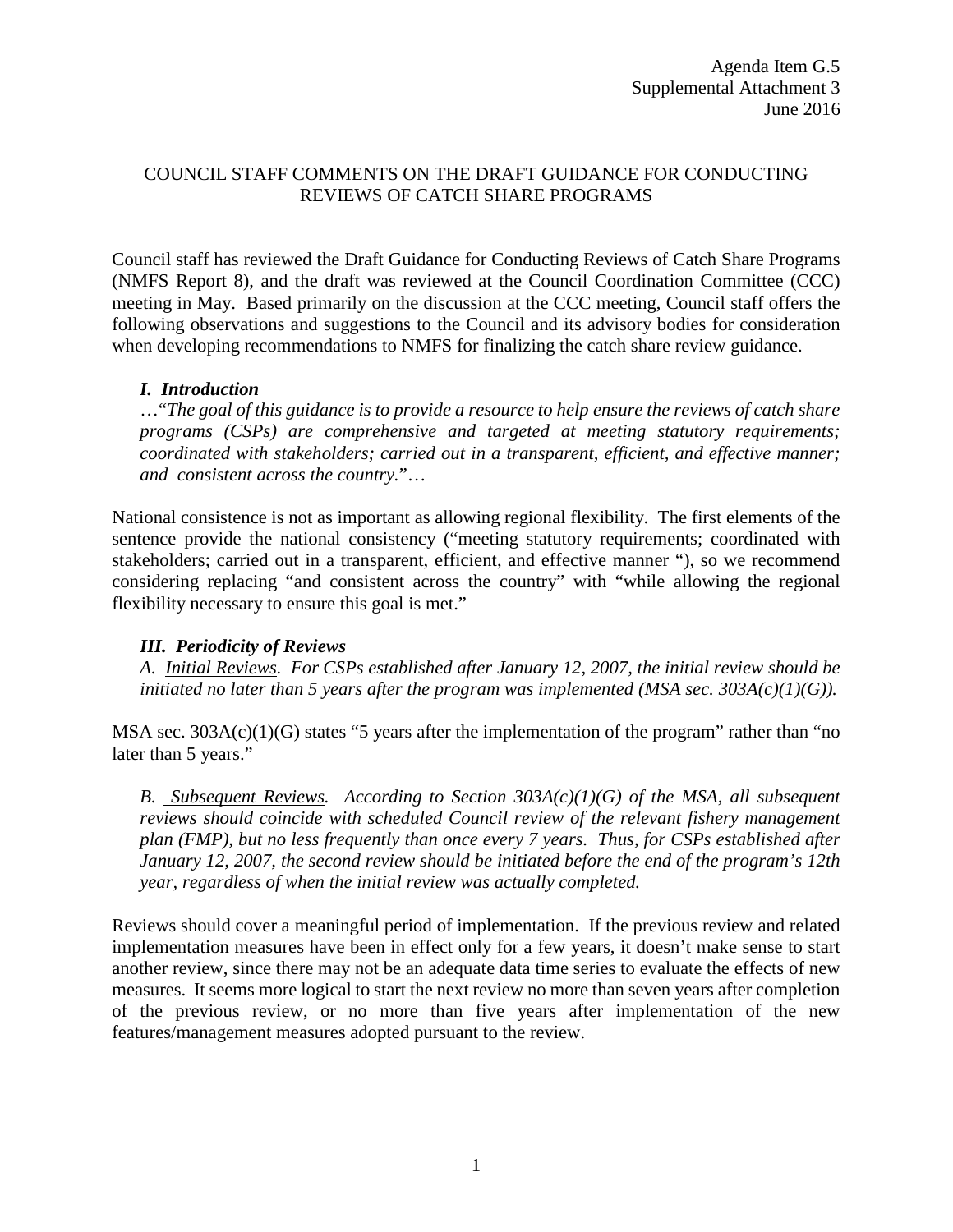# COUNCIL STAFF COMMENTS ON THE DRAFT GUIDANCE FOR CONDUCTING REVIEWS OF CATCH SHARE PROGRAMS

Council staff has reviewed the Draft Guidance for Conducting Reviews of Catch Share Programs (NMFS Report 8), and the draft was reviewed at the Council Coordination Committee (CCC) meeting in May. Based primarily on the discussion at the CCC meeting, Council staff offers the following observations and suggestions to the Council and its advisory bodies for consideration when developing recommendations to NMFS for finalizing the catch share review guidance.

#### *I. Introduction*

…"*The goal of this guidance is to provide a resource to help ensure the reviews of catch share programs (CSPs) are comprehensive and targeted at meeting statutory requirements; coordinated with stakeholders; carried out in a transparent, efficient, and effective manner; and consistent across the country.*"…

National consistence is not as important as allowing regional flexibility. The first elements of the sentence provide the national consistency ("meeting statutory requirements; coordinated with stakeholders; carried out in a transparent, efficient, and effective manner "), so we recommend considering replacing "and consistent across the country" with "while allowing the regional flexibility necessary to ensure this goal is met."

## *III. Periodicity of Reviews*

*A. Initial Reviews. For CSPs established after January 12, 2007, the initial review should be initiated no later than 5 years after the program was implemented (MSA sec. 303A(c)(1)(G)).*

MSA sec. 303A(c)(1)(G) states "5 years after the implementation of the program" rather than "no later than 5 years."

*B. Subsequent Reviews. According to Section 303A(c)(1)(G) of the MSA, all subsequent reviews should coincide with scheduled Council review of the relevant fishery management plan (FMP), but no less frequently than once every 7 years. Thus, for CSPs established after January 12, 2007, the second review should be initiated before the end of the program's 12th year, regardless of when the initial review was actually completed.* 

Reviews should cover a meaningful period of implementation. If the previous review and related implementation measures have been in effect only for a few years, it doesn't make sense to start another review, since there may not be an adequate data time series to evaluate the effects of new measures. It seems more logical to start the next review no more than seven years after completion of the previous review, or no more than five years after implementation of the new features/management measures adopted pursuant to the review.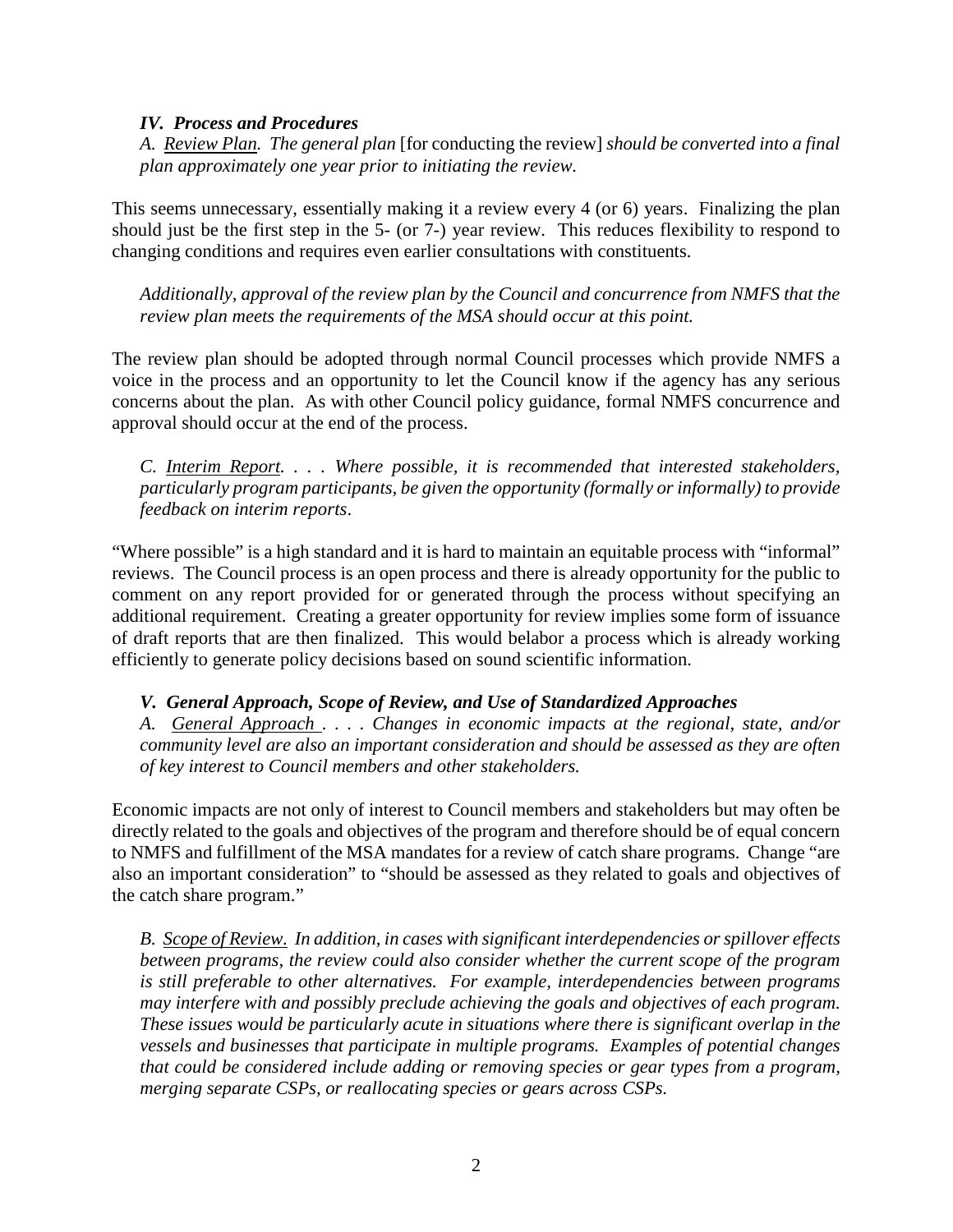#### *IV. Process and Procedures*

*A. Review Plan. The general plan* [for conducting the review] *should be converted into a final plan approximately one year prior to initiating the review.* 

This seems unnecessary, essentially making it a review every 4 (or 6) years. Finalizing the plan should just be the first step in the 5- (or 7-) year review. This reduces flexibility to respond to changing conditions and requires even earlier consultations with constituents.

*Additionally, approval of the review plan by the Council and concurrence from NMFS that the review plan meets the requirements of the MSA should occur at this point.*

The review plan should be adopted through normal Council processes which provide NMFS a voice in the process and an opportunity to let the Council know if the agency has any serious concerns about the plan. As with other Council policy guidance, formal NMFS concurrence and approval should occur at the end of the process.

*C. Interim Report. . . . Where possible, it is recommended that interested stakeholders, particularly program participants, be given the opportunity (formally or informally) to provide feedback on interim reports*.

"Where possible" is a high standard and it is hard to maintain an equitable process with "informal" reviews. The Council process is an open process and there is already opportunity for the public to comment on any report provided for or generated through the process without specifying an additional requirement. Creating a greater opportunity for review implies some form of issuance of draft reports that are then finalized. This would belabor a process which is already working efficiently to generate policy decisions based on sound scientific information.

*V. General Approach, Scope of Review, and Use of Standardized Approaches*

*A. General Approach . . . . Changes in economic impacts at the regional, state, and/or community level are also an important consideration and should be assessed as they are often of key interest to Council members and other stakeholders.* 

Economic impacts are not only of interest to Council members and stakeholders but may often be directly related to the goals and objectives of the program and therefore should be of equal concern to NMFS and fulfillment of the MSA mandates for a review of catch share programs. Change "are also an important consideration" to "should be assessed as they related to goals and objectives of the catch share program."

*B. Scope of Review. In addition, in cases with significant interdependencies or spillover effects between programs, the review could also consider whether the current scope of the program is still preferable to other alternatives. For example, interdependencies between programs may interfere with and possibly preclude achieving the goals and objectives of each program. These issues would be particularly acute in situations where there is significant overlap in the vessels and businesses that participate in multiple programs. Examples of potential changes that could be considered include adding or removing species or gear types from a program, merging separate CSPs, or reallocating species or gears across CSPs.*